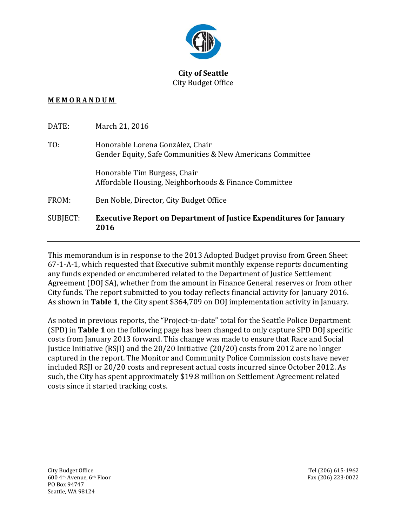

## **City of Seattle** City Budget Office

## **M E M O R A N D U M**

| DATE:    | March 21, 2016                                                                                |
|----------|-----------------------------------------------------------------------------------------------|
| TO:      | Honorable Lorena González, Chair<br>Gender Equity, Safe Communities & New Americans Committee |
|          | Honorable Tim Burgess, Chair<br>Affordable Housing, Neighborhoods & Finance Committee         |
| FROM:    | Ben Noble, Director, City Budget Office                                                       |
| SUBJECT: | <b>Executive Report on Department of Justice Expenditures for January</b><br>2016             |

This memorandum is in response to the 2013 Adopted Budget proviso from Green Sheet 67-1-A-1, which requested that Executive submit monthly expense reports documenting any funds expended or encumbered related to the Department of Justice Settlement Agreement (DOJ SA), whether from the amount in Finance General reserves or from other City funds. The report submitted to you today reflects financial activity for January 2016. As shown in **Table 1**, the City spent \$364,709 on DOJ implementation activity in January.

As noted in previous reports, the "Project-to-date" total for the Seattle Police Department (SPD) in **Table 1** on the following page has been changed to only capture SPD DOJ specific costs from January 2013 forward. This change was made to ensure that Race and Social Justice Initiative (RSJI) and the 20/20 Initiative (20/20) costs from 2012 are no longer captured in the report. The Monitor and Community Police Commission costs have never included RSJI or 20/20 costs and represent actual costs incurred since October 2012. As such, the City has spent approximately \$19.8 million on Settlement Agreement related costs since it started tracking costs.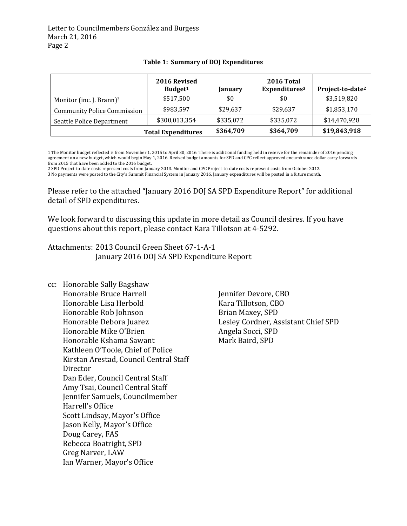Letter to Councilmembers González and Burgess March 21, 2016 Page 2

|                                      | 2016 Revised<br>Budget <sup>1</sup> | January   | 2016 Total<br>Expenditures <sup>3</sup> | Project-to-date <sup>2</sup> |
|--------------------------------------|-------------------------------------|-----------|-----------------------------------------|------------------------------|
| Monitor (inc. J. Brann) <sup>3</sup> | \$517,500                           | \$0       | \$0                                     | \$3,519,820                  |
| <b>Community Police Commission</b>   | \$983,597                           | \$29,637  | \$29,637                                | \$1,853,170                  |
| Seattle Police Department            | \$300,013,354                       | \$335,072 | \$335,072                               | \$14,470,928                 |
|                                      | <b>Total Expenditures</b>           | \$364,709 | \$364,709                               | \$19,843,918                 |

## **Table 1: Summary of DOJ Expenditures**

1 The Monitor budget reflected is from November 1, 2015 to April 30, 2016. There is additional funding held in reserve for the remainder of 2016 pending agreement on a new budget, which would begin May 1, 2016. Revised budget amounts for SPD and CPC reflect approved encumbrance dollar carry forwards from 2015 that have been added to the 2016 budget.

2 SPD Project-to-date costs represent costs from January 2013. Monitor and CPC Project-to-date costs represent costs from October 2012. 3 No payments were posted to the City's Summit Financial System in January 2016, January expenditures will be posted in a future month.

Please refer to the attached "January 2016 DOJ SA SPD Expenditure Report" for additional detail of SPD expenditures.

We look forward to discussing this update in more detail as Council desires. If you have questions about this report, please contact Kara Tillotson at 4-5292.

Attachments: 2013 Council Green Sheet 67-1-A-1 January 2016 DOJ SA SPD Expenditure Report

cc: Honorable Sally Bagshaw Honorable Bruce Harrell Honorable Lisa Herbold Honorable Rob Johnson Honorable Debora Juarez Honorable Mike O'Brien Honorable Kshama Sawant Kathleen O'Toole, Chief of Police Kirstan Arestad, Council Central Staff Director Dan Eder, Council Central Staff Amy Tsai, Council Central Staff Jennifer Samuels, Councilmember Harrell's Office Scott Lindsay, Mayor's Office Jason Kelly, Mayor's Office Doug Carey, FAS Rebecca Boatright, SPD Greg Narver, LAW Ian Warner, Mayor's Office

Jennifer Devore, CBO Kara Tillotson, CBO Brian Maxey, SPD Lesley Cordner, Assistant Chief SPD Angela Socci, SPD Mark Baird, SPD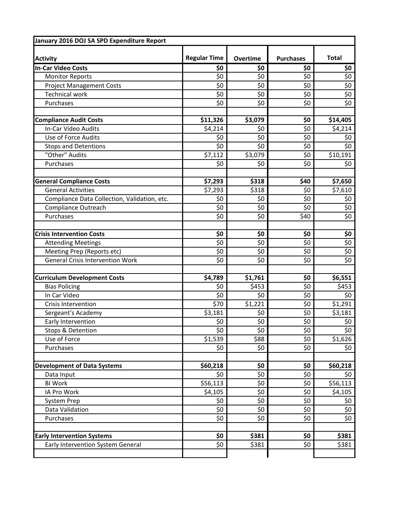| January 2016 DOJ SA SPD Expenditure Report   |                     |                 |                    |                    |
|----------------------------------------------|---------------------|-----------------|--------------------|--------------------|
| <b>Activity</b>                              | <b>Regular Time</b> | <b>Overtime</b> | <b>Purchases</b>   | <b>Total</b>       |
| <b>In-Car Video Costs</b>                    | \$0                 | \$0             | \$0                | \$0                |
| <b>Monitor Reports</b>                       | \$0                 | \$0             | \$0                | \$0                |
| <b>Project Management Costs</b>              | \$0                 | \$0             | \$0                | \$0                |
| <b>Technical work</b>                        | \$0                 | \$0             | \$0                | \$0                |
| Purchases                                    | \$0                 | \$0             | \$0                | \$0                |
| <b>Compliance Audit Costs</b>                | \$11,326            | \$3,079         | \$0                | \$14,405           |
| In-Car Video Audits                          | \$4,214             | \$0             | \$0                | \$4,214            |
| Use of Force Audits                          | \$0                 | \$0             | \$0                | \$0                |
| <b>Stops and Detentions</b>                  | \$0                 | \$0             | \$0                | \$0                |
| "Other" Audits                               | \$7,112             | \$3,079         | \$0                | \$10,191           |
| Purchases                                    | \$0                 | \$0             | \$0                | \$0                |
| <b>General Compliance Costs</b>              | \$7,293             | \$318           | \$40               | \$7,650            |
| <b>General Activities</b>                    | \$7,293             | \$318           | \$0                | \$7,610            |
| Compliance Data Collection, Validation, etc. | \$0                 | \$0             | \$0                | \$0                |
| <b>Compliance Outreach</b>                   | \$0                 | \$0             | \$0                | \$0                |
| Purchases                                    | \$0                 | \$0             | \$40               | \$0                |
| <b>Crisis Intervention Costs</b>             | \$0                 | \$0             | \$0                | \$0                |
| <b>Attending Meetings</b>                    | \$0                 | \$0             | \$0                | \$0                |
| Meeting Prep (Reports etc)                   | \$0                 | \$0             | \$0                | \$0                |
| <b>General Crisis Intervention Work</b>      | \$0                 | \$0             | \$0                | \$0                |
| <b>Curriculum Development Costs</b>          | \$4,789             | \$1,761         | \$0                | \$6,551            |
| <b>Bias Policing</b>                         | \$0                 | \$453           | \$0                | \$453              |
| In Car Video                                 | \$0                 | \$0             | \$0                | \$0                |
| <b>Crisis Intervention</b>                   | \$70                | \$1,221         | \$0                | \$1,291            |
| Sergeant's Academy                           | \$3,181             | \$0             | \$0                | \$3,181            |
| Early Intervention                           | \$0                 | \$0             | \$0                | \$0                |
| Stops & Detention                            | $\overline{\xi_0}$  | \$0             | $\overline{\xi_0}$ | $\overline{\xi_0}$ |
| Use of Force                                 | \$1,539             | \$88            | \$0                | \$1,626            |
| Purchases                                    | \$0                 | \$0             | \$0                | \$0                |
| <b>Development of Data Systems</b>           | \$60,218            | \$0             | \$0                | \$60,218           |
| Data Input                                   | \$0                 | \$0             | \$0                | \$0                |
| <b>BI Work</b>                               | \$56,113            | \$0             | \$0                | \$56,113           |
| IA Pro Work                                  | \$4,105             | \$0             | \$0                | \$4,105            |
| System Prep                                  | \$0                 | \$0             | \$0                | \$0                |
| Data Validation                              | \$0                 | \$0             | \$0                | \$0                |
| Purchases                                    | \$0                 | \$0             | \$0                | \$0                |
| <b>Early Intervention Systems</b>            | \$0                 | \$381           | \$0                | \$381              |
| Early Intervention System General            | \$0                 | \$381           | \$0                | \$381              |
|                                              |                     |                 |                    |                    |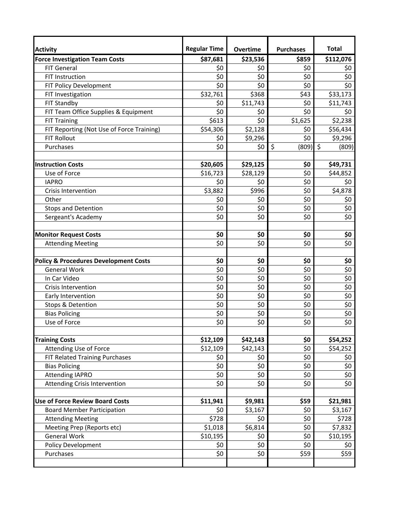| <b>Activity</b>                                  | <b>Regular Time</b> | <b>Overtime</b> | <b>Purchases</b> | <b>Total</b>     |
|--------------------------------------------------|---------------------|-----------------|------------------|------------------|
| <b>Force Investigation Team Costs</b>            | \$87,681            | \$23,536        | \$859            | \$112,076        |
| <b>FIT General</b>                               | \$0                 | \$0             | \$0              | \$0              |
| <b>FIT Instruction</b>                           | \$0                 | \$0             | \$0              | \$0              |
| FIT Policy Development                           | \$0                 | \$0             | \$0              | \$0              |
| FIT Investigation                                | \$32,761            | \$368           | \$43             | \$33,173         |
| FIT Standby                                      | \$0                 | \$11,743        | \$0              | \$11,743         |
| FIT Team Office Supplies & Equipment             | \$0                 | \$0             | \$0              | \$0              |
| <b>FIT Training</b>                              | \$613               | \$0             | \$1,625          | \$2,238          |
| FIT Reporting (Not Use of Force Training)        | \$54,306            | \$2,128         | \$0              | \$56,434         |
| <b>FIT Rollout</b>                               | \$0                 | \$9,296         | \$0              | \$9,296          |
| Purchases                                        | \$0                 | \$0             | $\zeta$<br>(809) | $\zeta$<br>(809) |
|                                                  |                     |                 |                  |                  |
| <b>Instruction Costs</b>                         | \$20,605            | \$29,125        | \$0              | \$49,731         |
| Use of Force                                     | \$16,723            | \$28,129        | \$0              | \$44,852         |
| <b>IAPRO</b>                                     | \$0                 | \$0             | \$0              | \$0              |
| <b>Crisis Intervention</b>                       | \$3,882             | \$996           | \$0              | \$4,878          |
| Other                                            | \$0                 | \$0             | \$0              | \$0              |
| <b>Stops and Detention</b>                       | \$0                 | \$0             | \$0              | \$0              |
| Sergeant's Academy                               | \$0                 | \$0             | \$0              | \$0              |
|                                                  |                     |                 |                  |                  |
| <b>Monitor Request Costs</b>                     | \$0                 | \$0             | \$0              | \$0              |
| <b>Attending Meeting</b>                         | \$0                 | \$0             | \$0              | \$0              |
|                                                  |                     |                 |                  |                  |
| <b>Policy &amp; Procedures Development Costs</b> | \$0                 | \$0             | \$0              | \$0              |
| <b>General Work</b>                              | \$0                 | \$0             | \$0              | \$0              |
| In Car Video                                     | \$0                 | \$0             | \$0              | \$0              |
| <b>Crisis Intervention</b>                       | \$0                 | \$0             | \$0              | \$0              |
| Early Intervention                               | \$0                 | \$0             | \$0              | \$0              |
| Stops & Detention                                | \$0                 | \$0             | \$0              | \$0              |
| <b>Bias Policing</b>                             | \$0                 | \$0             | \$0              | \$0              |
| Use of Force                                     | \$0                 | \$0             | \$0              | \$0              |
|                                                  |                     |                 |                  |                  |
| <b>Training Costs</b>                            | \$12,109            | \$42,143        | \$0              | \$54,252         |
| Attending Use of Force                           | \$12,109            | \$42,143        | \$0              | \$54,252         |
| FIT Related Training Purchases                   | \$0                 | \$0             | \$0              | \$0              |
| <b>Bias Policing</b>                             | \$0                 | \$0             | \$0              | \$0              |
| <b>Attending IAPRO</b>                           | \$0                 | \$0             | \$0              | \$0              |
| Attending Crisis Intervention                    | \$0                 | \$0             | \$0              | \$0              |
|                                                  |                     |                 |                  |                  |
| <b>Use of Force Review Board Costs</b>           | \$11,941            | \$9,981         | \$59             | \$21,981         |
| <b>Board Member Participation</b>                | \$0                 | \$3,167         | \$0              | \$3,167          |
| <b>Attending Meeting</b>                         | \$728               | \$0             | \$0              | \$728            |
| Meeting Prep (Reports etc)                       | \$1,018             | \$6,814         | \$0              | \$7,832          |
| <b>General Work</b>                              | \$10,195            | \$0             | \$0              | \$10,195         |
| Policy Development                               | \$0                 | \$0             | \$0              | \$0              |
| Purchases                                        | \$0                 | \$0             | \$59             | \$59             |
|                                                  |                     |                 |                  |                  |